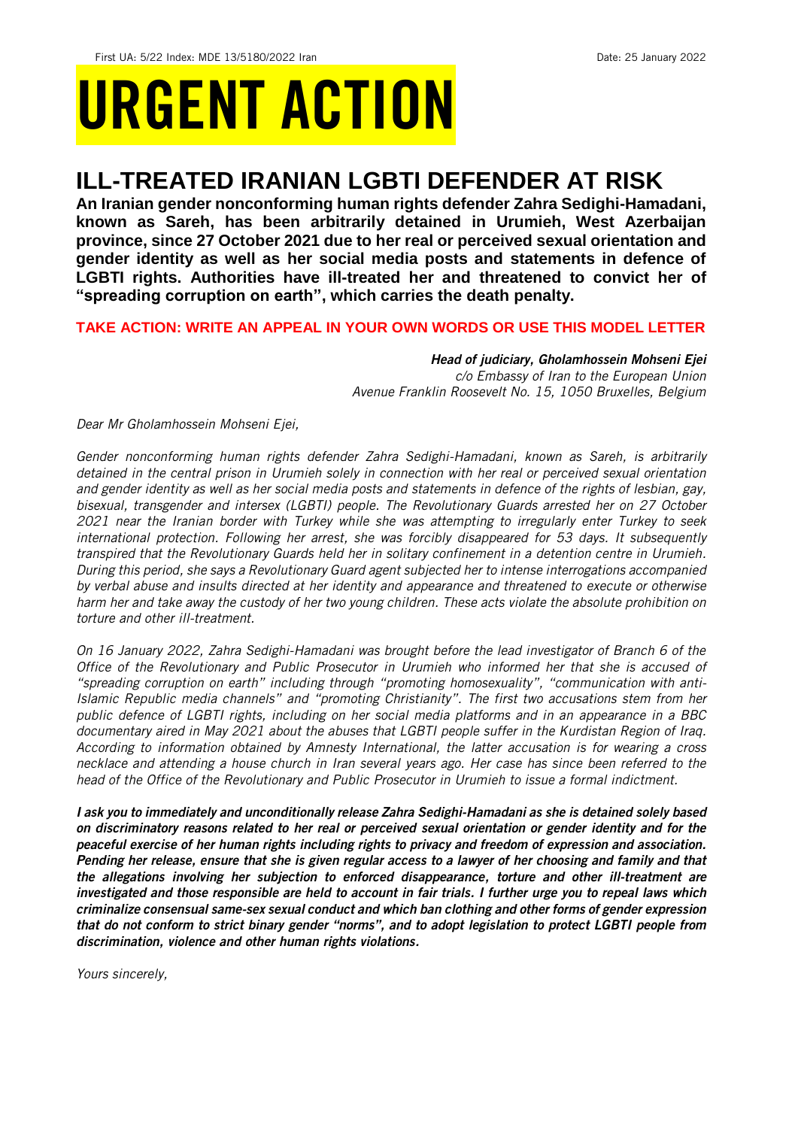# URGENT ACTION

# **ILL-TREATED IRANIAN LGBTI DEFENDER AT RISK**

**An Iranian gender nonconforming human rights defender Zahra Sedighi-Hamadani, known as Sareh, has been arbitrarily detained in Urumieh, West Azerbaijan province, since 27 October 2021 due to her real or perceived sexual orientation and gender identity as well as her social media posts and statements in defence of LGBTI rights. Authorities have ill-treated her and threatened to convict her of "spreading corruption on earth", which carries the death penalty.**

### **TAKE ACTION: WRITE AN APPEAL IN YOUR OWN WORDS OR USE THIS MODEL LETTER**

*Head of judiciary, Gholamhossein Mohseni Ejei c/o Embassy of Iran to the European Union Avenue Franklin Roosevelt No. 15, 1050 Bruxelles, Belgium*

*Dear Mr Gholamhossein Mohseni Ejei,*

*Gender nonconforming human rights defender Zahra Sedighi-Hamadani, known as Sareh, is arbitrarily detained in the central prison in Urumieh solely in connection with her real or perceived sexual orientation and gender identity as well as her social media posts and statements in defence of the rights of lesbian, gay, bisexual, transgender and intersex (LGBTI) people. The Revolutionary Guards arrested her on 27 October 2021 near the Iranian border with Turkey while she was attempting to irregularly enter Turkey to seek international protection. Following her arrest, she was forcibly disappeared for 53 days. It subsequently transpired that the Revolutionary Guards held her in solitary confinement in a detention centre in Urumieh. During this period, she says a Revolutionary Guard agent subjected her to intense interrogations accompanied by verbal abuse and insults directed at her identity and appearance and threatened to execute or otherwise harm her and take away the custody of her two young children. These acts violate the absolute prohibition on torture and other ill-treatment.* 

*On 16 January 2022, Zahra Sedighi-Hamadani was brought before the lead investigator of Branch 6 of the Office of the Revolutionary and Public Prosecutor in Urumieh who informed her that she is accused of "spreading corruption on earth" including through "promoting homosexuality", "communication with anti-Islamic Republic media channels" and "promoting Christianity". The first two accusations stem from her public defence of LGBTI rights, including on her social media platforms and in an appearance in a BBC documentary aired in May 2021 about the abuses that LGBTI people suffer in the Kurdistan Region of Iraq. According to information obtained by Amnesty International, the latter accusation is for wearing a cross necklace and attending a house church in Iran several years ago. Her case has since been referred to the head of the Office of the Revolutionary and Public Prosecutor in Urumieh to issue a formal indictment.*

*I ask you to immediately and unconditionally release Zahra Sedighi-Hamadani as she is detained solely based on discriminatory reasons related to her real or perceived sexual orientation or gender identity and for the peaceful exercise of her human rights including rights to privacy and freedom of expression and association. Pending her release, ensure that she is given regular access to a lawyer of her choosing and family and that the allegations involving her subjection to enforced disappearance, torture and other ill-treatment are investigated and those responsible are held to account in fair trials. I further urge you to repeal laws which criminalize consensual same-sex sexual conduct and which ban clothing and other forms of gender expression that do not conform to strict binary gender "norms", and to adopt legislation to protect LGBTI people from discrimination, violence and other human rights violations.* 

*Yours sincerely,*